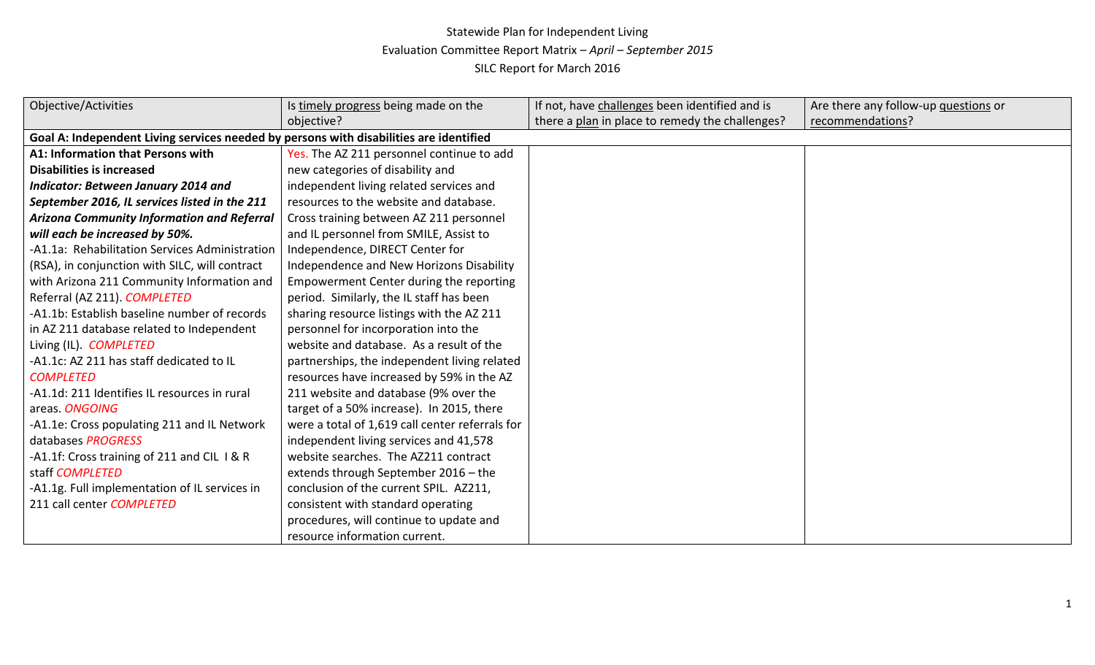## Statewide Plan for Independent Living Evaluation Committee Report Matrix – *April – September 2015* SILC Report for March 2016

| <b>Objective/Activities</b>                                                            | Is timely progress being made on the            | If not, have challenges been identified and is  | Are there any follow-up questions or |
|----------------------------------------------------------------------------------------|-------------------------------------------------|-------------------------------------------------|--------------------------------------|
|                                                                                        | objective?                                      | there a plan in place to remedy the challenges? | recommendations?                     |
| Goal A: Independent Living services needed by persons with disabilities are identified |                                                 |                                                 |                                      |
| A1: Information that Persons with                                                      | Yes. The AZ 211 personnel continue to add       |                                                 |                                      |
| <b>Disabilities is increased</b>                                                       | new categories of disability and                |                                                 |                                      |
| <b>Indicator: Between January 2014 and</b>                                             | independent living related services and         |                                                 |                                      |
| September 2016, IL services listed in the 211                                          | resources to the website and database.          |                                                 |                                      |
| <b>Arizona Community Information and Referral</b>                                      | Cross training between AZ 211 personnel         |                                                 |                                      |
| will each be increased by 50%.                                                         | and IL personnel from SMILE, Assist to          |                                                 |                                      |
| -A1.1a: Rehabilitation Services Administration                                         | Independence, DIRECT Center for                 |                                                 |                                      |
| (RSA), in conjunction with SILC, will contract                                         | Independence and New Horizons Disability        |                                                 |                                      |
| with Arizona 211 Community Information and                                             | Empowerment Center during the reporting         |                                                 |                                      |
| Referral (AZ 211). COMPLETED                                                           | period. Similarly, the IL staff has been        |                                                 |                                      |
| -A1.1b: Establish baseline number of records                                           | sharing resource listings with the AZ 211       |                                                 |                                      |
| in AZ 211 database related to Independent                                              | personnel for incorporation into the            |                                                 |                                      |
| Living (IL). COMPLETED                                                                 | website and database. As a result of the        |                                                 |                                      |
| -A1.1c: AZ 211 has staff dedicated to IL                                               | partnerships, the independent living related    |                                                 |                                      |
| <b>COMPLETED</b>                                                                       | resources have increased by 59% in the AZ       |                                                 |                                      |
| -A1.1d: 211 Identifies IL resources in rural                                           | 211 website and database (9% over the           |                                                 |                                      |
| areas. ONGOING                                                                         | target of a 50% increase). In 2015, there       |                                                 |                                      |
| -A1.1e: Cross populating 211 and IL Network                                            | were a total of 1,619 call center referrals for |                                                 |                                      |
| databases PROGRESS                                                                     | independent living services and 41,578          |                                                 |                                      |
| -A1.1f: Cross training of 211 and CIL I & R                                            | website searches. The AZ211 contract            |                                                 |                                      |
| staff COMPLETED                                                                        | extends through September 2016 - the            |                                                 |                                      |
| -A1.1g. Full implementation of IL services in                                          | conclusion of the current SPIL. AZ211,          |                                                 |                                      |
| 211 call center COMPLETED                                                              | consistent with standard operating              |                                                 |                                      |
|                                                                                        | procedures, will continue to update and         |                                                 |                                      |
|                                                                                        | resource information current.                   |                                                 |                                      |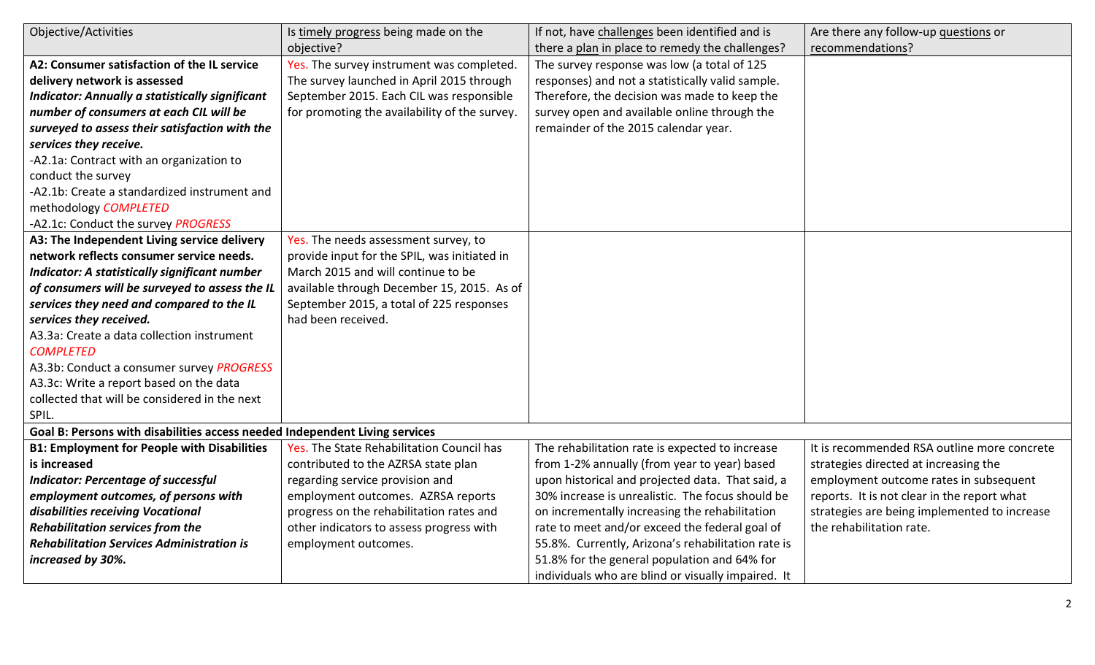| Objective/Activities                                                        | Is timely progress being made on the          | If not, have challenges been identified and is     | Are there any follow-up questions or         |
|-----------------------------------------------------------------------------|-----------------------------------------------|----------------------------------------------------|----------------------------------------------|
|                                                                             | objective?                                    | there a plan in place to remedy the challenges?    | recommendations?                             |
| A2: Consumer satisfaction of the IL service                                 | Yes. The survey instrument was completed.     | The survey response was low (a total of 125        |                                              |
| delivery network is assessed                                                | The survey launched in April 2015 through     | responses) and not a statistically valid sample.   |                                              |
| <b>Indicator: Annually a statistically significant</b>                      | September 2015. Each CIL was responsible      | Therefore, the decision was made to keep the       |                                              |
| number of consumers at each CIL will be                                     | for promoting the availability of the survey. | survey open and available online through the       |                                              |
| surveyed to assess their satisfaction with the                              |                                               | remainder of the 2015 calendar year.               |                                              |
| services they receive.                                                      |                                               |                                                    |                                              |
| -A2.1a: Contract with an organization to                                    |                                               |                                                    |                                              |
| conduct the survey                                                          |                                               |                                                    |                                              |
| -A2.1b: Create a standardized instrument and                                |                                               |                                                    |                                              |
| methodology COMPLETED                                                       |                                               |                                                    |                                              |
| -A2.1c: Conduct the survey PROGRESS                                         |                                               |                                                    |                                              |
| A3: The Independent Living service delivery                                 | Yes. The needs assessment survey, to          |                                                    |                                              |
| network reflects consumer service needs.                                    | provide input for the SPIL, was initiated in  |                                                    |                                              |
| <b>Indicator: A statistically significant number</b>                        | March 2015 and will continue to be            |                                                    |                                              |
| of consumers will be surveyed to assess the IL                              | available through December 15, 2015. As of    |                                                    |                                              |
| services they need and compared to the IL                                   | September 2015, a total of 225 responses      |                                                    |                                              |
| services they received.                                                     | had been received.                            |                                                    |                                              |
| A3.3a: Create a data collection instrument                                  |                                               |                                                    |                                              |
| <b>COMPLETED</b>                                                            |                                               |                                                    |                                              |
| A3.3b: Conduct a consumer survey PROGRESS                                   |                                               |                                                    |                                              |
| A3.3c: Write a report based on the data                                     |                                               |                                                    |                                              |
| collected that will be considered in the next                               |                                               |                                                    |                                              |
| SPIL.                                                                       |                                               |                                                    |                                              |
| Goal B: Persons with disabilities access needed Independent Living services |                                               |                                                    |                                              |
| <b>B1: Employment for People with Disabilities</b>                          | Yes. The State Rehabilitation Council has     | The rehabilitation rate is expected to increase    | It is recommended RSA outline more concrete  |
| is increased                                                                | contributed to the AZRSA state plan           | from 1-2% annually (from year to year) based       | strategies directed at increasing the        |
| <b>Indicator: Percentage of successful</b>                                  | regarding service provision and               | upon historical and projected data. That said, a   | employment outcome rates in subsequent       |
| employment outcomes, of persons with                                        | employment outcomes. AZRSA reports            | 30% increase is unrealistic. The focus should be   | reports. It is not clear in the report what  |
| disabilities receiving Vocational                                           | progress on the rehabilitation rates and      | on incrementally increasing the rehabilitation     | strategies are being implemented to increase |
| <b>Rehabilitation services from the</b>                                     | other indicators to assess progress with      | rate to meet and/or exceed the federal goal of     | the rehabilitation rate.                     |
| <b>Rehabilitation Services Administration is</b>                            | employment outcomes.                          | 55.8%. Currently, Arizona's rehabilitation rate is |                                              |
| increased by 30%.                                                           |                                               | 51.8% for the general population and 64% for       |                                              |
|                                                                             |                                               | individuals who are blind or visually impaired. It |                                              |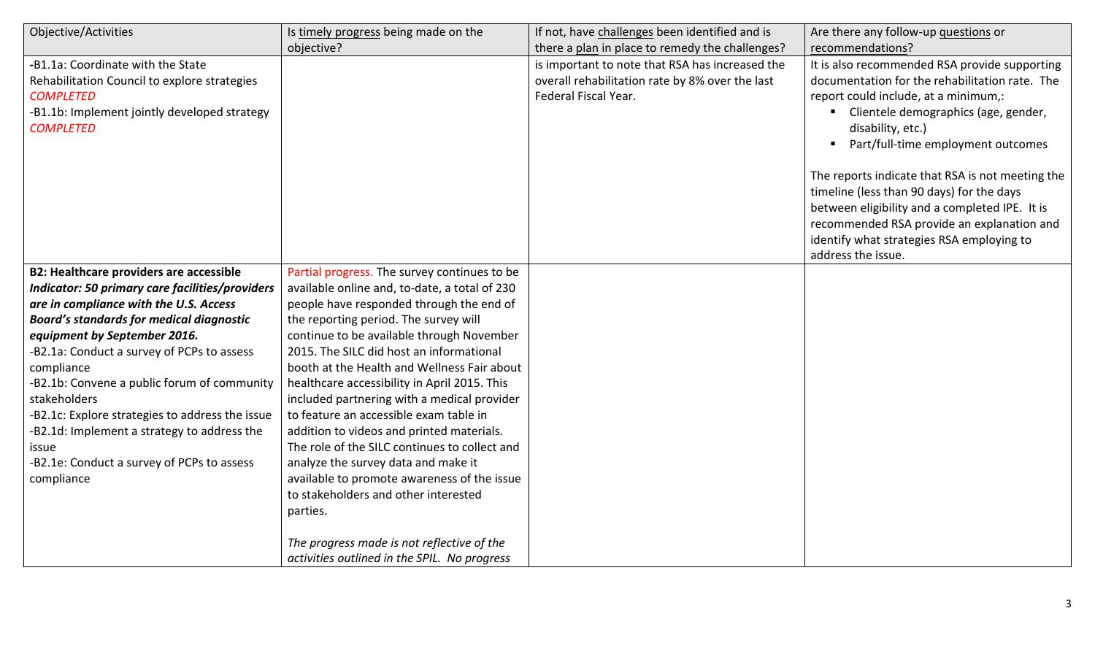| Objective/Activities                            | Is timely progress being made on the          | If not, have challenges been identified and is  | Are there any follow-up questions or             |
|-------------------------------------------------|-----------------------------------------------|-------------------------------------------------|--------------------------------------------------|
|                                                 | objective?                                    | there a plan in place to remedy the challenges? | recommendations?                                 |
| -B1.1a: Coordinate with the State               |                                               | is important to note that RSA has increased the | It is also recommended RSA provide supporting    |
| Rehabilitation Council to explore strategies    |                                               | overall rehabilitation rate by 8% over the last | documentation for the rehabilitation rate. The   |
| <b>COMPLETED</b>                                |                                               | Federal Fiscal Year.                            | report could include, at a minimum,:             |
| -B1.1b: Implement jointly developed strategy    |                                               |                                                 | Clientele demographics (age, gender,             |
| <b>COMPLETED</b>                                |                                               |                                                 | disability, etc.)                                |
|                                                 |                                               |                                                 | Part/full-time employment outcomes               |
|                                                 |                                               |                                                 | The reports indicate that RSA is not meeting the |
|                                                 |                                               |                                                 | timeline (less than 90 days) for the days        |
|                                                 |                                               |                                                 | between eligibility and a completed IPE. It is   |
|                                                 |                                               |                                                 | recommended RSA provide an explanation and       |
|                                                 |                                               |                                                 | identify what strategies RSA employing to        |
|                                                 |                                               |                                                 | address the issue.                               |
| <b>B2: Healthcare providers are accessible</b>  | Partial progress. The survey continues to be  |                                                 |                                                  |
| Indicator: 50 primary care facilities/providers | available online and, to-date, a total of 230 |                                                 |                                                  |
| are in compliance with the U.S. Access          | people have responded through the end of      |                                                 |                                                  |
| <b>Board's standards for medical diagnostic</b> | the reporting period. The survey will         |                                                 |                                                  |
| equipment by September 2016.                    | continue to be available through November     |                                                 |                                                  |
| -B2.1a: Conduct a survey of PCPs to assess      | 2015. The SILC did host an informational      |                                                 |                                                  |
| compliance                                      | booth at the Health and Wellness Fair about   |                                                 |                                                  |
| -B2.1b: Convene a public forum of community     | healthcare accessibility in April 2015. This  |                                                 |                                                  |
| stakeholders                                    | included partnering with a medical provider   |                                                 |                                                  |
| -B2.1c: Explore strategies to address the issue | to feature an accessible exam table in        |                                                 |                                                  |
| -B2.1d: Implement a strategy to address the     | addition to videos and printed materials.     |                                                 |                                                  |
| issue                                           | The role of the SILC continues to collect and |                                                 |                                                  |
| -B2.1e: Conduct a survey of PCPs to assess      | analyze the survey data and make it           |                                                 |                                                  |
| compliance                                      | available to promote awareness of the issue   |                                                 |                                                  |
|                                                 | to stakeholders and other interested          |                                                 |                                                  |
|                                                 | parties.                                      |                                                 |                                                  |
|                                                 | The progress made is not reflective of the    |                                                 |                                                  |
|                                                 | activities outlined in the SPIL. No progress  |                                                 |                                                  |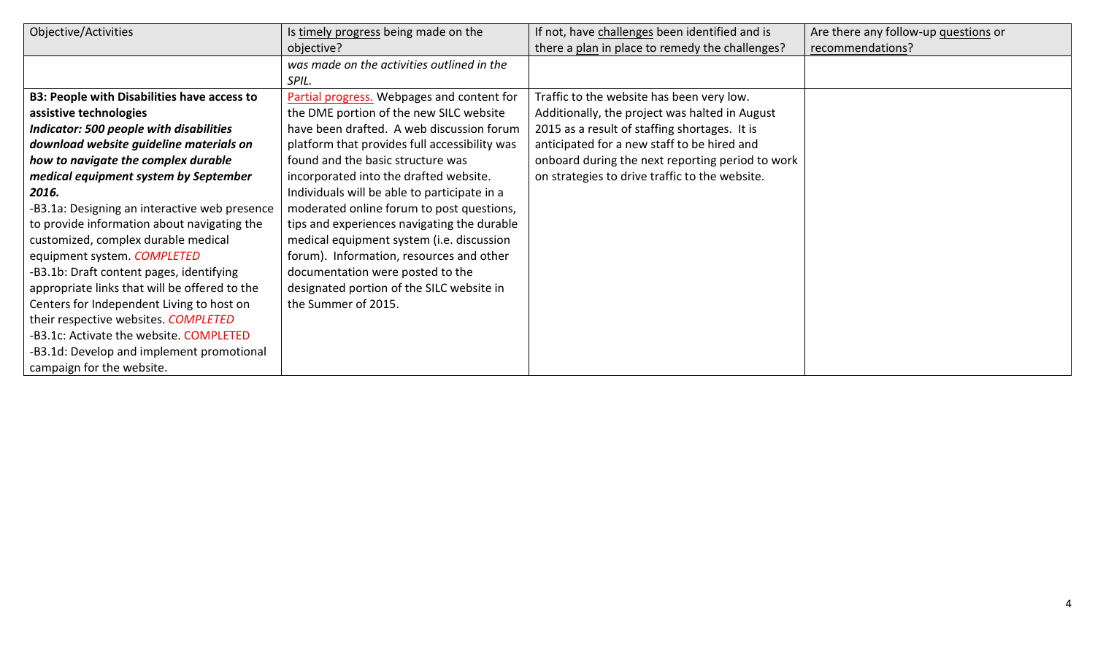| Objective/Activities                               | Is timely progress being made on the          | If not, have challenges been identified and is   | Are there any follow-up questions or |
|----------------------------------------------------|-----------------------------------------------|--------------------------------------------------|--------------------------------------|
|                                                    | objective?                                    | there a plan in place to remedy the challenges?  | recommendations?                     |
|                                                    | was made on the activities outlined in the    |                                                  |                                      |
|                                                    | SPIL.                                         |                                                  |                                      |
| <b>B3: People with Disabilities have access to</b> | Partial progress. Webpages and content for    | Traffic to the website has been very low.        |                                      |
| assistive technologies                             | the DME portion of the new SILC website       | Additionally, the project was halted in August   |                                      |
| <b>Indicator: 500 people with disabilities</b>     | have been drafted. A web discussion forum     | 2015 as a result of staffing shortages. It is    |                                      |
| download website guideline materials on            | platform that provides full accessibility was | anticipated for a new staff to be hired and      |                                      |
| how to navigate the complex durable                | found and the basic structure was             | onboard during the next reporting period to work |                                      |
| medical equipment system by September              | incorporated into the drafted website.        | on strategies to drive traffic to the website.   |                                      |
| 2016.                                              | Individuals will be able to participate in a  |                                                  |                                      |
| -B3.1a: Designing an interactive web presence      | moderated online forum to post questions,     |                                                  |                                      |
| to provide information about navigating the        | tips and experiences navigating the durable   |                                                  |                                      |
| customized, complex durable medical                | medical equipment system (i.e. discussion     |                                                  |                                      |
| equipment system. COMPLETED                        | forum). Information, resources and other      |                                                  |                                      |
| -B3.1b: Draft content pages, identifying           | documentation were posted to the              |                                                  |                                      |
| appropriate links that will be offered to the      | designated portion of the SILC website in     |                                                  |                                      |
| Centers for Independent Living to host on          | the Summer of 2015.                           |                                                  |                                      |
| their respective websites. COMPLETED               |                                               |                                                  |                                      |
| -B3.1c: Activate the website. COMPLETED            |                                               |                                                  |                                      |
| -B3.1d: Develop and implement promotional          |                                               |                                                  |                                      |
| campaign for the website.                          |                                               |                                                  |                                      |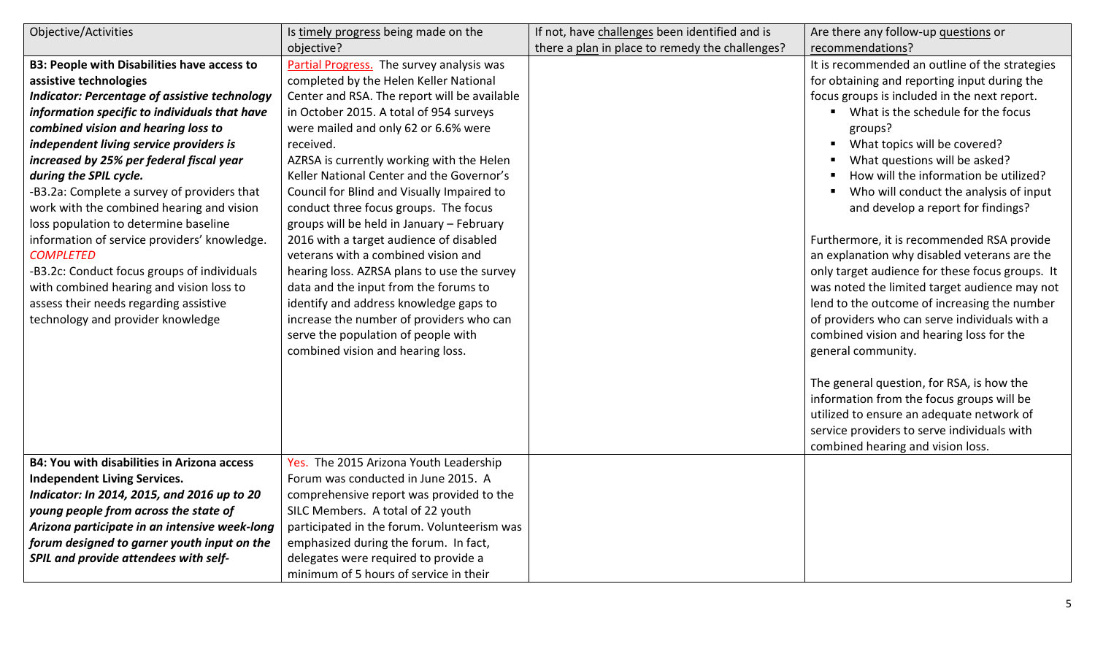| Objective/Activities                                 | Is timely progress being made on the         | If not, have challenges been identified and is  | Are there any follow-up questions or            |
|------------------------------------------------------|----------------------------------------------|-------------------------------------------------|-------------------------------------------------|
|                                                      | objective?                                   | there a plan in place to remedy the challenges? | recommendations?                                |
| <b>B3: People with Disabilities have access to</b>   | Partial Progress. The survey analysis was    |                                                 | It is recommended an outline of the strategies  |
| assistive technologies                               | completed by the Helen Keller National       |                                                 | for obtaining and reporting input during the    |
| <b>Indicator: Percentage of assistive technology</b> | Center and RSA. The report will be available |                                                 | focus groups is included in the next report.    |
| information specific to individuals that have        | in October 2015. A total of 954 surveys      |                                                 | • What is the schedule for the focus            |
| combined vision and hearing loss to                  | were mailed and only 62 or 6.6% were         |                                                 | groups?                                         |
| independent living service providers is              | received.                                    |                                                 | What topics will be covered?                    |
| increased by 25% per federal fiscal year             | AZRSA is currently working with the Helen    |                                                 | What questions will be asked?                   |
| during the SPIL cycle.                               | Keller National Center and the Governor's    |                                                 | How will the information be utilized?           |
| -B3.2a: Complete a survey of providers that          | Council for Blind and Visually Impaired to   |                                                 | Who will conduct the analysis of input          |
| work with the combined hearing and vision            | conduct three focus groups. The focus        |                                                 | and develop a report for findings?              |
| loss population to determine baseline                | groups will be held in January - February    |                                                 |                                                 |
| information of service providers' knowledge.         | 2016 with a target audience of disabled      |                                                 | Furthermore, it is recommended RSA provide      |
| <b>COMPLETED</b>                                     | veterans with a combined vision and          |                                                 | an explanation why disabled veterans are the    |
| -B3.2c: Conduct focus groups of individuals          | hearing loss. AZRSA plans to use the survey  |                                                 | only target audience for these focus groups. It |
| with combined hearing and vision loss to             | data and the input from the forums to        |                                                 | was noted the limited target audience may not   |
| assess their needs regarding assistive               | identify and address knowledge gaps to       |                                                 | lend to the outcome of increasing the number    |
| technology and provider knowledge                    | increase the number of providers who can     |                                                 | of providers who can serve individuals with a   |
|                                                      | serve the population of people with          |                                                 | combined vision and hearing loss for the        |
|                                                      | combined vision and hearing loss.            |                                                 | general community.                              |
|                                                      |                                              |                                                 | The general question, for RSA, is how the       |
|                                                      |                                              |                                                 | information from the focus groups will be       |
|                                                      |                                              |                                                 | utilized to ensure an adequate network of       |
|                                                      |                                              |                                                 | service providers to serve individuals with     |
|                                                      |                                              |                                                 | combined hearing and vision loss.               |
| <b>B4: You with disabilities in Arizona access</b>   | Yes. The 2015 Arizona Youth Leadership       |                                                 |                                                 |
| <b>Independent Living Services.</b>                  | Forum was conducted in June 2015. A          |                                                 |                                                 |
| Indicator: In 2014, 2015, and 2016 up to 20          | comprehensive report was provided to the     |                                                 |                                                 |
| young people from across the state of                | SILC Members. A total of 22 youth            |                                                 |                                                 |
| Arizona participate in an intensive week-long        | participated in the forum. Volunteerism was  |                                                 |                                                 |
| forum designed to garner youth input on the          | emphasized during the forum. In fact,        |                                                 |                                                 |
| SPIL and provide attendees with self-                | delegates were required to provide a         |                                                 |                                                 |
|                                                      | minimum of 5 hours of service in their       |                                                 |                                                 |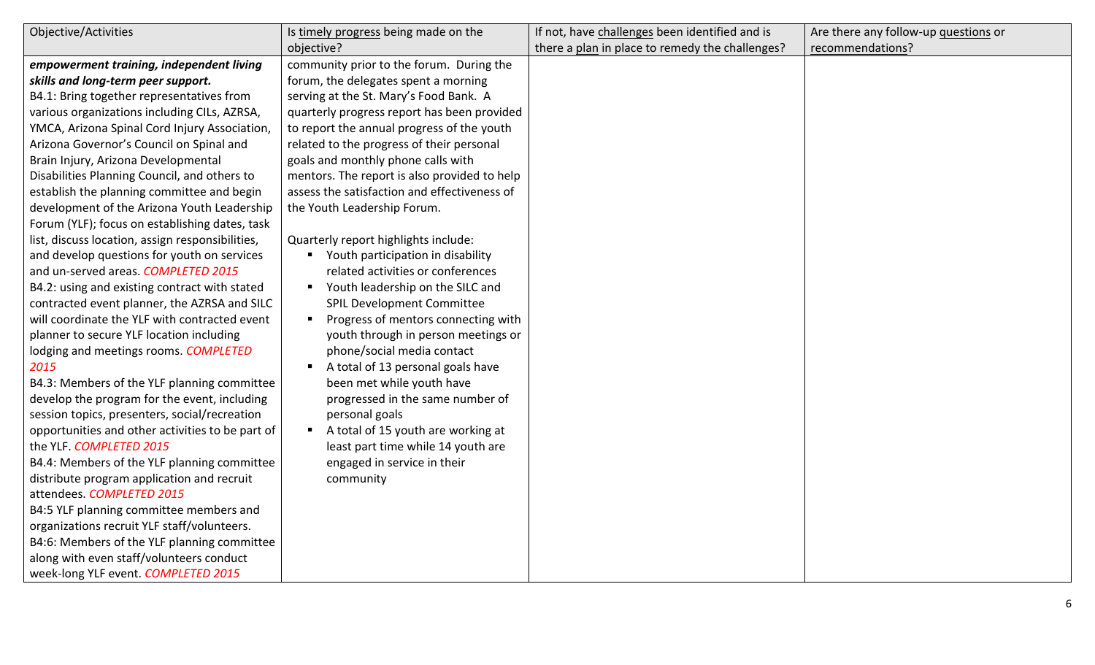| Objective/Activities                             | Is timely progress being made on the                  | If not, have challenges been identified and is  | Are there any follow-up questions or |
|--------------------------------------------------|-------------------------------------------------------|-------------------------------------------------|--------------------------------------|
|                                                  | objective?                                            | there a plan in place to remedy the challenges? | recommendations?                     |
| empowerment training, independent living         | community prior to the forum. During the              |                                                 |                                      |
| skills and long-term peer support.               | forum, the delegates spent a morning                  |                                                 |                                      |
| B4.1: Bring together representatives from        | serving at the St. Mary's Food Bank. A                |                                                 |                                      |
| various organizations including CILs, AZRSA,     | quarterly progress report has been provided           |                                                 |                                      |
| YMCA, Arizona Spinal Cord Injury Association,    | to report the annual progress of the youth            |                                                 |                                      |
| Arizona Governor's Council on Spinal and         | related to the progress of their personal             |                                                 |                                      |
| Brain Injury, Arizona Developmental              | goals and monthly phone calls with                    |                                                 |                                      |
| Disabilities Planning Council, and others to     | mentors. The report is also provided to help          |                                                 |                                      |
| establish the planning committee and begin       | assess the satisfaction and effectiveness of          |                                                 |                                      |
| development of the Arizona Youth Leadership      | the Youth Leadership Forum.                           |                                                 |                                      |
| Forum (YLF); focus on establishing dates, task   |                                                       |                                                 |                                      |
| list, discuss location, assign responsibilities, | Quarterly report highlights include:                  |                                                 |                                      |
| and develop questions for youth on services      | • Youth participation in disability                   |                                                 |                                      |
| and un-served areas. COMPLETED 2015              | related activities or conferences                     |                                                 |                                      |
| B4.2: using and existing contract with stated    | Youth leadership on the SILC and<br>$\blacksquare$    |                                                 |                                      |
| contracted event planner, the AZRSA and SILC     | <b>SPIL Development Committee</b>                     |                                                 |                                      |
| will coordinate the YLF with contracted event    | Progress of mentors connecting with<br>$\blacksquare$ |                                                 |                                      |
| planner to secure YLF location including         | youth through in person meetings or                   |                                                 |                                      |
| lodging and meetings rooms. COMPLETED            | phone/social media contact                            |                                                 |                                      |
| 2015                                             | A total of 13 personal goals have<br>$\blacksquare$   |                                                 |                                      |
| B4.3: Members of the YLF planning committee      | been met while youth have                             |                                                 |                                      |
| develop the program for the event, including     | progressed in the same number of                      |                                                 |                                      |
| session topics, presenters, social/recreation    | personal goals                                        |                                                 |                                      |
| opportunities and other activities to be part of | A total of 15 youth are working at<br>п               |                                                 |                                      |
| the YLF. COMPLETED 2015                          | least part time while 14 youth are                    |                                                 |                                      |
| B4.4: Members of the YLF planning committee      | engaged in service in their                           |                                                 |                                      |
| distribute program application and recruit       | community                                             |                                                 |                                      |
| attendees. COMPLETED 2015                        |                                                       |                                                 |                                      |
| B4:5 YLF planning committee members and          |                                                       |                                                 |                                      |
| organizations recruit YLF staff/volunteers.      |                                                       |                                                 |                                      |
| B4:6: Members of the YLF planning committee      |                                                       |                                                 |                                      |
| along with even staff/volunteers conduct         |                                                       |                                                 |                                      |
| week-long YLF event. COMPLETED 2015              |                                                       |                                                 |                                      |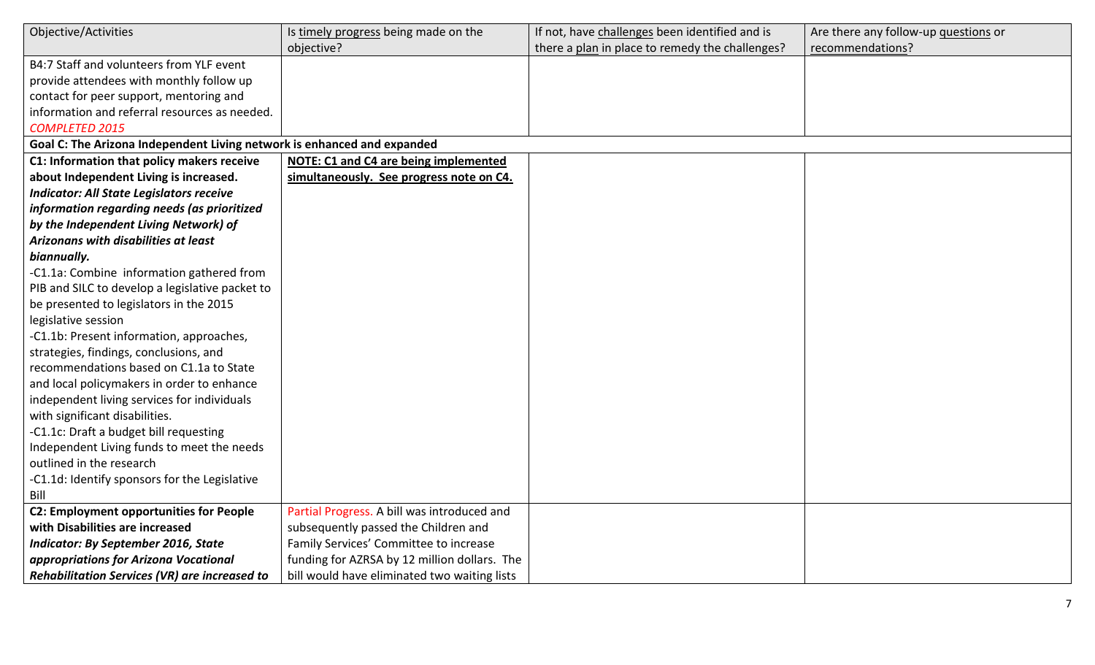| Objective/Activities                                                    | Is timely progress being made on the         | If not, have challenges been identified and is  | Are there any follow-up questions or |
|-------------------------------------------------------------------------|----------------------------------------------|-------------------------------------------------|--------------------------------------|
|                                                                         | objective?                                   | there a plan in place to remedy the challenges? | recommendations?                     |
| B4:7 Staff and volunteers from YLF event                                |                                              |                                                 |                                      |
| provide attendees with monthly follow up                                |                                              |                                                 |                                      |
| contact for peer support, mentoring and                                 |                                              |                                                 |                                      |
| information and referral resources as needed.                           |                                              |                                                 |                                      |
| <b>COMPLETED 2015</b>                                                   |                                              |                                                 |                                      |
| Goal C: The Arizona Independent Living network is enhanced and expanded |                                              |                                                 |                                      |
| C1: Information that policy makers receive                              | NOTE: C1 and C4 are being implemented        |                                                 |                                      |
| about Independent Living is increased.                                  | simultaneously. See progress note on C4.     |                                                 |                                      |
| <b>Indicator: All State Legislators receive</b>                         |                                              |                                                 |                                      |
| information regarding needs (as prioritized                             |                                              |                                                 |                                      |
| by the Independent Living Network) of                                   |                                              |                                                 |                                      |
| Arizonans with disabilities at least                                    |                                              |                                                 |                                      |
| biannually.                                                             |                                              |                                                 |                                      |
| -C1.1a: Combine information gathered from                               |                                              |                                                 |                                      |
| PIB and SILC to develop a legislative packet to                         |                                              |                                                 |                                      |
| be presented to legislators in the 2015                                 |                                              |                                                 |                                      |
| legislative session                                                     |                                              |                                                 |                                      |
| -C1.1b: Present information, approaches,                                |                                              |                                                 |                                      |
| strategies, findings, conclusions, and                                  |                                              |                                                 |                                      |
| recommendations based on C1.1a to State                                 |                                              |                                                 |                                      |
| and local policymakers in order to enhance                              |                                              |                                                 |                                      |
| independent living services for individuals                             |                                              |                                                 |                                      |
| with significant disabilities.                                          |                                              |                                                 |                                      |
| -C1.1c: Draft a budget bill requesting                                  |                                              |                                                 |                                      |
| Independent Living funds to meet the needs                              |                                              |                                                 |                                      |
| outlined in the research                                                |                                              |                                                 |                                      |
| -C1.1d: Identify sponsors for the Legislative                           |                                              |                                                 |                                      |
| Bill                                                                    |                                              |                                                 |                                      |
| <b>C2: Employment opportunities for People</b>                          | Partial Progress. A bill was introduced and  |                                                 |                                      |
| with Disabilities are increased                                         | subsequently passed the Children and         |                                                 |                                      |
| <b>Indicator: By September 2016, State</b>                              | Family Services' Committee to increase       |                                                 |                                      |
| appropriations for Arizona Vocational                                   | funding for AZRSA by 12 million dollars. The |                                                 |                                      |
| Rehabilitation Services (VR) are increased to                           | bill would have eliminated two waiting lists |                                                 |                                      |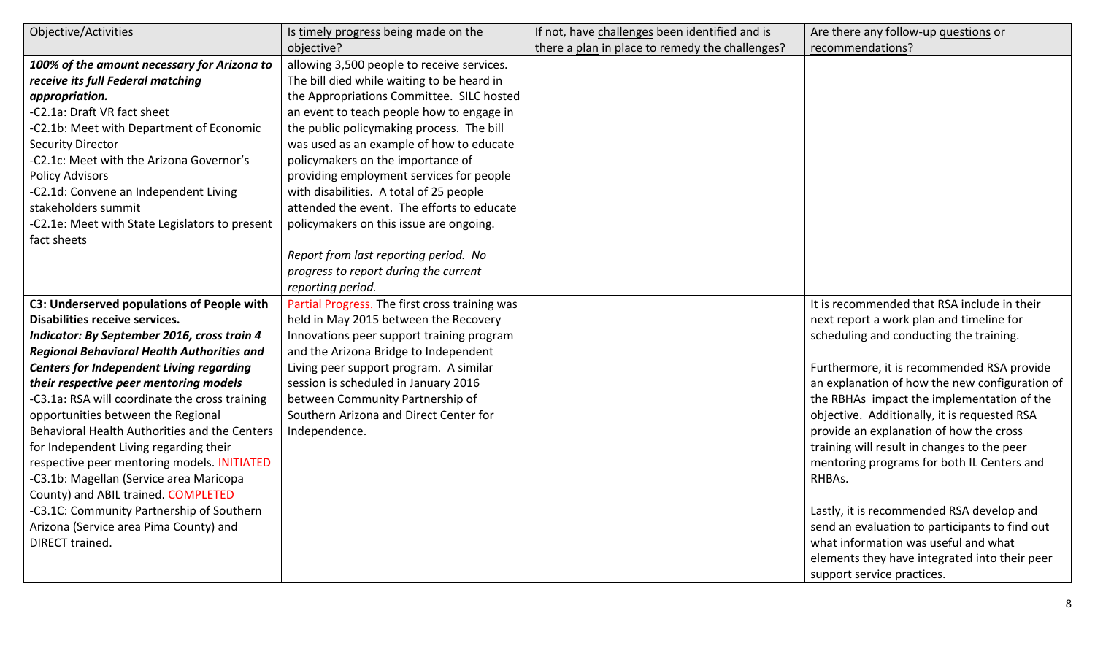| Objective/Activities                              | Is timely progress being made on the           | If not, have challenges been identified and is  | Are there any follow-up questions or           |
|---------------------------------------------------|------------------------------------------------|-------------------------------------------------|------------------------------------------------|
|                                                   | objective?                                     | there a plan in place to remedy the challenges? | recommendations?                               |
| 100% of the amount necessary for Arizona to       | allowing 3,500 people to receive services.     |                                                 |                                                |
| receive its full Federal matching                 | The bill died while waiting to be heard in     |                                                 |                                                |
| appropriation.                                    | the Appropriations Committee. SILC hosted      |                                                 |                                                |
| -C2.1a: Draft VR fact sheet                       | an event to teach people how to engage in      |                                                 |                                                |
| -C2.1b: Meet with Department of Economic          | the public policymaking process. The bill      |                                                 |                                                |
| <b>Security Director</b>                          | was used as an example of how to educate       |                                                 |                                                |
| -C2.1c: Meet with the Arizona Governor's          | policymakers on the importance of              |                                                 |                                                |
| <b>Policy Advisors</b>                            | providing employment services for people       |                                                 |                                                |
| -C2.1d: Convene an Independent Living             | with disabilities. A total of 25 people        |                                                 |                                                |
| stakeholders summit                               | attended the event. The efforts to educate     |                                                 |                                                |
| -C2.1e: Meet with State Legislators to present    | policymakers on this issue are ongoing.        |                                                 |                                                |
| fact sheets                                       |                                                |                                                 |                                                |
|                                                   | Report from last reporting period. No          |                                                 |                                                |
|                                                   | progress to report during the current          |                                                 |                                                |
|                                                   | reporting period.                              |                                                 |                                                |
| C3: Underserved populations of People with        | Partial Progress. The first cross training was |                                                 | It is recommended that RSA include in their    |
| Disabilities receive services.                    | held in May 2015 between the Recovery          |                                                 | next report a work plan and timeline for       |
| Indicator: By September 2016, cross train 4       | Innovations peer support training program      |                                                 | scheduling and conducting the training.        |
| <b>Regional Behavioral Health Authorities and</b> | and the Arizona Bridge to Independent          |                                                 |                                                |
| <b>Centers for Independent Living regarding</b>   | Living peer support program. A similar         |                                                 | Furthermore, it is recommended RSA provide     |
| their respective peer mentoring models            | session is scheduled in January 2016           |                                                 | an explanation of how the new configuration of |
| -C3.1a: RSA will coordinate the cross training    | between Community Partnership of               |                                                 | the RBHAs impact the implementation of the     |
| opportunities between the Regional                | Southern Arizona and Direct Center for         |                                                 | objective. Additionally, it is requested RSA   |
| Behavioral Health Authorities and the Centers     | Independence.                                  |                                                 | provide an explanation of how the cross        |
| for Independent Living regarding their            |                                                |                                                 | training will result in changes to the peer    |
| respective peer mentoring models. INITIATED       |                                                |                                                 | mentoring programs for both IL Centers and     |
| -C3.1b: Magellan (Service area Maricopa           |                                                |                                                 | RHBAs.                                         |
| County) and ABIL trained. COMPLETED               |                                                |                                                 |                                                |
| -C3.1C: Community Partnership of Southern         |                                                |                                                 | Lastly, it is recommended RSA develop and      |
| Arizona (Service area Pima County) and            |                                                |                                                 | send an evaluation to participants to find out |
| DIRECT trained.                                   |                                                |                                                 | what information was useful and what           |
|                                                   |                                                |                                                 | elements they have integrated into their peer  |
|                                                   |                                                |                                                 | support service practices.                     |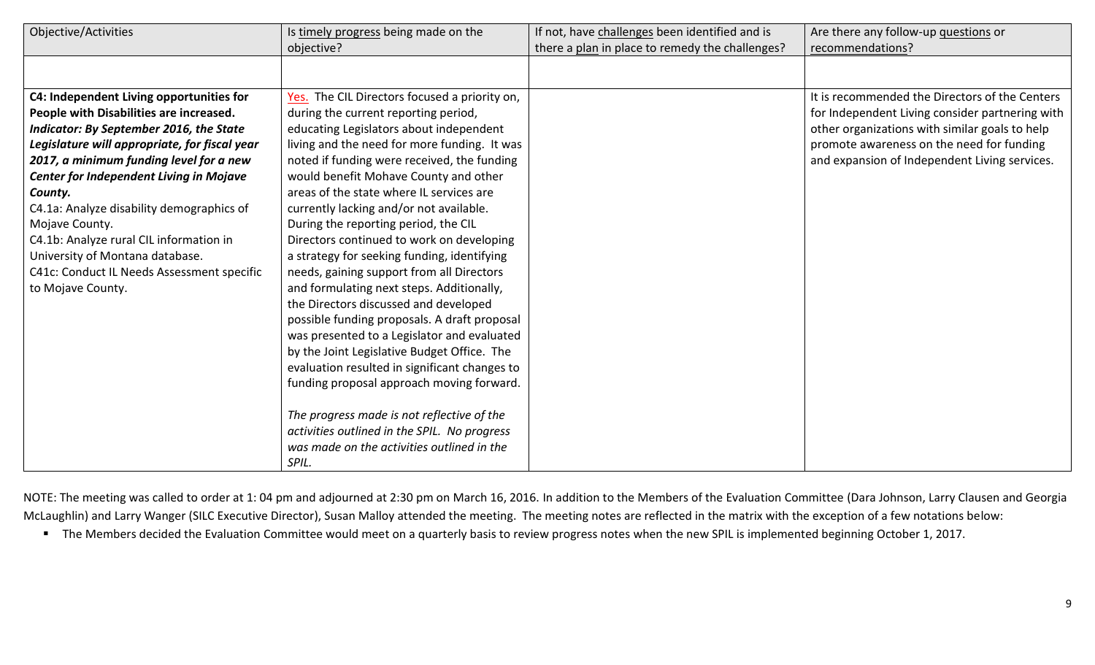| Objective/Activities                                                                                                                                                                                                                                                                                                                                                                                                                        | Is timely progress being made on the<br>objective?                                                                                                                                                                                                                                                                                                                                                                                                                                                                               | If not, have challenges been identified and is<br>there a plan in place to remedy the challenges? | Are there any follow-up questions or<br>recommendations?                                                                                                                                                                                          |
|---------------------------------------------------------------------------------------------------------------------------------------------------------------------------------------------------------------------------------------------------------------------------------------------------------------------------------------------------------------------------------------------------------------------------------------------|----------------------------------------------------------------------------------------------------------------------------------------------------------------------------------------------------------------------------------------------------------------------------------------------------------------------------------------------------------------------------------------------------------------------------------------------------------------------------------------------------------------------------------|---------------------------------------------------------------------------------------------------|---------------------------------------------------------------------------------------------------------------------------------------------------------------------------------------------------------------------------------------------------|
|                                                                                                                                                                                                                                                                                                                                                                                                                                             |                                                                                                                                                                                                                                                                                                                                                                                                                                                                                                                                  |                                                                                                   |                                                                                                                                                                                                                                                   |
| C4: Independent Living opportunities for<br>People with Disabilities are increased.<br><b>Indicator: By September 2016, the State</b><br>Legislature will appropriate, for fiscal year<br>2017, a minimum funding level for a new<br><b>Center for Independent Living in Mojave</b><br>County.<br>C4.1a: Analyze disability demographics of<br>Mojave County.<br>C4.1b: Analyze rural CIL information in<br>University of Montana database. | Yes. The CIL Directors focused a priority on,<br>during the current reporting period,<br>educating Legislators about independent<br>living and the need for more funding. It was<br>noted if funding were received, the funding<br>would benefit Mohave County and other<br>areas of the state where IL services are<br>currently lacking and/or not available.<br>During the reporting period, the CIL<br>Directors continued to work on developing<br>a strategy for seeking funding, identifying                              |                                                                                                   | It is recommended the Directors of the Centers<br>for Independent Living consider partnering with<br>other organizations with similar goals to help<br>promote awareness on the need for funding<br>and expansion of Independent Living services. |
| C41c: Conduct IL Needs Assessment specific<br>to Mojave County.                                                                                                                                                                                                                                                                                                                                                                             | needs, gaining support from all Directors<br>and formulating next steps. Additionally,<br>the Directors discussed and developed<br>possible funding proposals. A draft proposal<br>was presented to a Legislator and evaluated<br>by the Joint Legislative Budget Office. The<br>evaluation resulted in significant changes to<br>funding proposal approach moving forward.<br>The progress made is not reflective of the<br>activities outlined in the SPIL. No progress<br>was made on the activities outlined in the<br>SPIL. |                                                                                                   |                                                                                                                                                                                                                                                   |

NOTE: The meeting was called to order at 1: 04 pm and adjourned at 2:30 pm on March 16, 2016. In addition to the Members of the Evaluation Committee (Dara Johnson, Larry Clausen and Georgia McLaughlin) and Larry Wanger (SILC Executive Director), Susan Malloy attended the meeting. The meeting notes are reflected in the matrix with the exception of a few notations below:

■ The Members decided the Evaluation Committee would meet on a quarterly basis to review progress notes when the new SPIL is implemented beginning October 1, 2017.